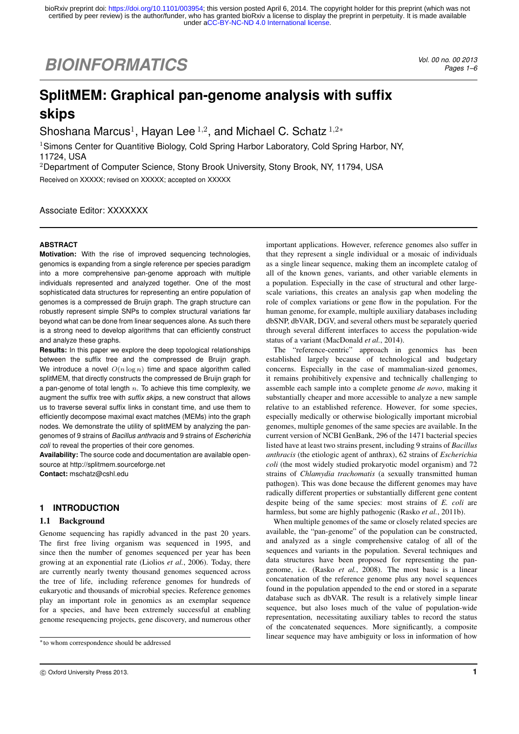# *BIOINFORMATICS Vol. 00 no. 00 2013*

*Pages 1–6*

## **SplitMEM: Graphical pan-genome analysis with suffix skips**

Shoshana Marcus<sup>1</sup>, Hayan Lee <sup>1,2</sup>, and Michael C. Schatz <sup>1,2\*</sup>

<sup>1</sup>Simons Center for Quantitive Biology, Cold Spring Harbor Laboratory, Cold Spring Harbor, NY, 11724, USA

<sup>2</sup>Department of Computer Science, Stony Brook University, Stony Brook, NY, 11794, USA Received on XXXXX; revised on XXXXX; accepted on XXXXX

Associate Editor: XXXXXXX

## **ABSTRACT**

**Motivation:** With the rise of improved sequencing technologies, genomics is expanding from a single reference per species paradigm into a more comprehensive pan-genome approach with multiple individuals represented and analyzed together. One of the most sophisticated data structures for representing an entire population of genomes is a compressed de Bruijn graph. The graph structure can robustly represent simple SNPs to complex structural variations far beyond what can be done from linear sequences alone. As such there is a strong need to develop algorithms that can efficiently construct and analyze these graphs.

**Results:** In this paper we explore the deep topological relationships between the suffix tree and the compressed de Bruijn graph. We introduce a novel *O*(*n* log *n*) time and space algorithm called splitMEM, that directly constructs the compressed de Bruijn graph for a pan-genome of total length *n*. To achieve this time complexity, we augment the suffix tree with *suffix skips*, a new construct that allows us to traverse several suffix links in constant time, and use them to efficiently decompose maximal exact matches (MEMs) into the graph nodes. We demonstrate the utility of splitMEM by analyzing the pangenomes of 9 strains of *Bacillus anthracis* and 9 strains of *Escherichia coli* to reveal the properties of their core genomes.

**Availability:** The source code and documentation are available opensource at http://splitmem.sourceforge.net **Contact:** mschatz@cshl.edu

## **1 INTRODUCTION**

#### 1.1 Background

Genome sequencing has rapidly advanced in the past 20 years. The first free living organism was sequenced in 1995, and since then the number of genomes sequenced per year has been growing at an exponential rate (Liolios *et al.*, 2006). Today, there are currently nearly twenty thousand genomes sequenced across the tree of life, including reference genomes for hundreds of eukaryotic and thousands of microbial species. Reference genomes play an important role in genomics as an exemplar sequence for a species, and have been extremely successful at enabling genome resequencing projects, gene discovery, and numerous other important applications. However, reference genomes also suffer in that they represent a single individual or a mosaic of individuals as a single linear sequence, making them an incomplete catalog of all of the known genes, variants, and other variable elements in a population. Especially in the case of structural and other largescale variations, this creates an analysis gap when modeling the role of complex variations or gene flow in the population. For the human genome, for example, multiple auxiliary databases including dbSNP, dbVAR, DGV, and several others must be separately queried through several different interfaces to access the population-wide status of a variant (MacDonald *et al.*, 2014).

The "reference-centric" approach in genomics has been established largely because of technological and budgetary concerns. Especially in the case of mammalian-sized genomes, it remains prohibitively expensive and technically challenging to assemble each sample into a complete genome *de novo*, making it substantially cheaper and more accessible to analyze a new sample relative to an established reference. However, for some species, especially medically or otherwise biologically important microbial genomes, multiple genomes of the same species are available. In the current version of NCBI GenBank, 296 of the 1471 bacterial species listed have at least two strains present, including 9 strains of *Bacillus anthracis* (the etiologic agent of anthrax), 62 strains of *Escherichia coli* (the most widely studied prokaryotic model organism) and 72 strains of *Chlamydia trachomatis* (a sexually transmitted human pathogen). This was done because the different genomes may have radically different properties or substantially different gene content despite being of the same species: most strains of *E. coli* are harmless, but some are highly pathogenic (Rasko *et al.*, 2011b).

When multiple genomes of the same or closely related species are available, the "pan-genome" of the population can be constructed, and analyzed as a single comprehensive catalog of all of the sequences and variants in the population. Several techniques and data structures have been proposed for representing the pangenome, i.e. (Rasko *et al.*, 2008). The most basic is a linear concatenation of the reference genome plus any novel sequences found in the population appended to the end or stored in a separate database such as dbVAR. The result is a relatively simple linear sequence, but also loses much of the value of population-wide representation, necessitating auxiliary tables to record the status of the concatenated sequences. More significantly, a composite linear sequence may have ambiguity or loss in information of how

<sup>⇤</sup>to whom correspondence should be addressed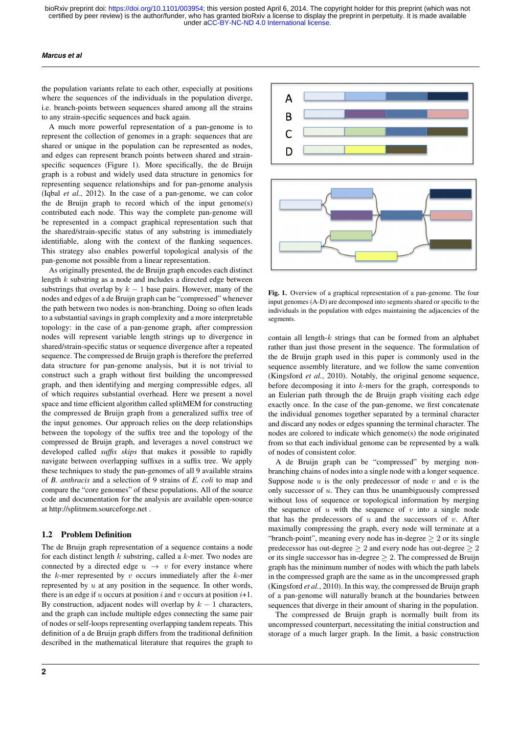#### *Marcus et al*

the population variants relate to each other, especially at positions where the sequences of the individuals in the population diverge, i.e. branch-points between sequences shared among all the strains to any strain-specific sequences and back again.

A much more powerful representation of a pan-genome is to represent the collection of genomes in a graph: sequences that are shared or unique in the population can be represented as nodes, and edges can represent branch points between shared and strainspecific sequences (Figure 1). More specifically, the de Bruijn graph is a robust and widely used data structure in genomics for representing sequence relationships and for pan-genome analysis (Iqbal *et al.*, 2012). In the case of a pan-genome, we can color the de Bruijn graph to record which of the input genome(s) contributed each node. This way the complete pan-genome will be represented in a compact graphical representation such that the shared/strain-specific status of any substring is immediately identifiable, along with the context of the flanking sequences. This strategy also enables powerful topological analysis of the pan-genome not possible from a linear representation.

As originally presented, the de Bruijn graph encodes each distinct length *k* substring as a node and includes a directed edge between substrings that overlap by  $k - 1$  base pairs. However, many of the nodes and edges of a de Bruijn graph can be "compressed" whenever the path between two nodes is non-branching. Doing so often leads to a substantial savings in graph complexity and a more interpretable topology: in the case of a pan-genome graph, after compression nodes will represent variable length strings up to divergence in shared/strain-specific status or sequence divergence after a repeated sequence. The compressed de Bruijn graph is therefore the preferred data structure for pan-genome analysis, but it is not trivial to construct such a graph without first building the uncompressed graph, and then identifying and merging compressible edges, all of which requires substantial overhead. Here we present a novel space and time efficient algorithm called splitMEM for constructing the compressed de Bruijn graph from a generalized suffix tree of the input genomes. Our approach relies on the deep relationships between the topology of the suffix tree and the topology of the compressed de Bruijn graph, and leverages a novel construct we developed called *suffix skips* that makes it possible to rapidly navigate between overlapping suffixes in a suffix tree. We apply these techniques to study the pan-genomes of all 9 available strains of *B. anthracis* and a selection of 9 strains of *E. coli* to map and compare the "core genomes" of these populations. All of the source code and documentation for the analysis are available open-source at http://splitmem.sourceforge.net .

#### 1.2 Problem Definition

The de Bruijn graph representation of a sequence contains a node for each distinct length *k* substring, called a *k*-mer. Two nodes are connected by a directed edge  $u \rightarrow v$  for every instance where the *k*-mer represented by *v* occurs immediately after the *k*-mer represented by *u* at any position in the sequence. In other words, there is an edge if  $u$  occurs at position  $i$  and  $v$  occurs at position  $i+1$ . By construction, adjacent nodes will overlap by  $k - 1$  characters, and the graph can include multiple edges connecting the same pair of nodes or self-loops representing overlapping tandem repeats. This definition of a de Bruijn graph differs from the traditional definition described in the mathematical literature that requires the graph to



Fig. 1. Overview of a graphical representation of a pan-genome. The four input genomes (A-D) are decomposed into segments shared or specific to the individuals in the population with edges maintaining the adjacencies of the segments.

contain all length-*k* strings that can be formed from an alphabet rather than just those present in the sequence. The formulation of the de Bruijn graph used in this paper is commonly used in the sequence assembly literature, and we follow the same convention (Kingsford *et al.*, 2010). Notably, the original genome sequence, before decomposing it into *k*-mers for the graph, corresponds to an Eulerian path through the de Bruijn graph visiting each edge exactly once. In the case of the pan-genome, we first concatenate the individual genomes together separated by a terminal character and discard any nodes or edges spanning the terminal character. The nodes are colored to indicate which genome(s) the node originated from so that each individual genome can be represented by a walk of nodes of consistent color.

A de Bruijn graph can be "compressed" by merging nonbranching chains of nodes into a single node with a longer sequence. Suppose node  $u$  is the only predecessor of node  $v$  and  $v$  is the only successor of *u*. They can thus be unambiguously compressed without loss of sequence or topological information by merging the sequence of  $u$  with the sequence of  $v$  into a single node that has the predecessors of  $u$  and the successors of  $v$ . After maximally compressing the graph, every node will terminate at a "branch-point", meaning every node has in-degree  $\geq 2$  or its single predecessor has out-degree  $> 2$  and every node has out-degree  $> 2$ or its single successor has in-degree  $\geq 2$ . The compressed de Bruijn graph has the minimum number of nodes with which the path labels in the compressed graph are the same as in the uncompressed graph (Kingsford *et al.*, 2010). In this way, the compressed de Bruijn graph of a pan-genome will naturally branch at the boundaries between sequences that diverge in their amount of sharing in the population.

The compressed de Bruijn graph is normally built from its uncompressed counterpart, necessitating the initial construction and storage of a much larger graph. In the limit, a basic construction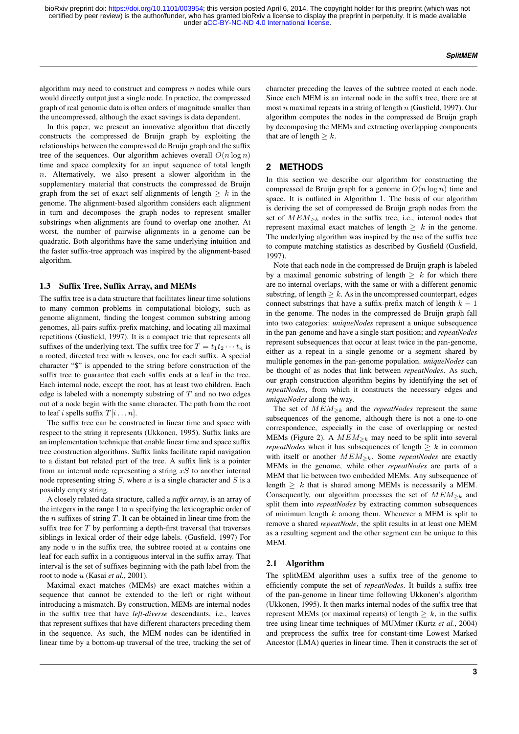algorithm may need to construct and compress *n* nodes while ours would directly output just a single node. In practice, the compressed graph of real genomic data is often orders of magnitude smaller than the uncompressed, although the exact savings is data dependent.

In this paper, we present an innovative algorithm that directly constructs the compressed de Bruijn graph by exploiting the relationships between the compressed de Bruijn graph and the suffix tree of the sequences. Our algorithm achieves overall  $O(n \log n)$ time and space complexity for an input sequence of total length *n*. Alternatively, we also present a slower algorithm in the supplementary material that constructs the compressed de Bruijn graph from the set of exact self-alignments of length  $\geq k$  in the genome. The alignment-based algorithm considers each alignment in turn and decomposes the graph nodes to represent smaller substrings when alignments are found to overlap one another. At worst, the number of pairwise alignments in a genome can be quadratic. Both algorithms have the same underlying intuition and the faster suffix-tree approach was inspired by the alignment-based algorithm.

#### 1.3 Suffix Tree, Suffix Array, and MEMs

The suffix tree is a data structure that facilitates linear time solutions to many common problems in computational biology, such as genome alignment, finding the longest common substring among genomes, all-pairs suffix-prefix matching, and locating all maximal repetitions (Gusfield, 1997). It is a compact trie that represents all suffixes of the underlying text. The suffix tree for  $T = t_1 t_2 \cdots t_n$  is a rooted, directed tree with *n* leaves, one for each suffix. A special character "\$" is appended to the string before construction of the suffix tree to guarantee that each suffix ends at a leaf in the tree. Each internal node, except the root, has at least two children. Each edge is labeled with a nonempty substring of *T* and no two edges out of a node begin with the same character. The path from the root to leaf *i* spells suffix  $T[i...n]$ .

The suffix tree can be constructed in linear time and space with respect to the string it represents (Ukkonen, 1995). Suffix links are an implementation technique that enable linear time and space suffix tree construction algorithms. Suffix links facilitate rapid navigation to a distant but related part of the tree. A suffix link is a pointer from an internal node representing a string *xS* to another internal node representing string *S*, where *x* is a single character and *S* is a possibly empty string.

A closely related data structure, called a *suffix array*, is an array of the integers in the range 1 to *n* specifying the lexicographic order of the *n* suffixes of string *T*. It can be obtained in linear time from the suffix tree for *T* by performing a depth-first traversal that traverses siblings in lexical order of their edge labels. (Gusfield, 1997) For any node *u* in the suffix tree, the subtree rooted at *u* contains one leaf for each suffix in a contiguous interval in the suffix array. That interval is the set of suffixes beginning with the path label from the root to node *u* (Kasai *et al.*, 2001).

Maximal exact matches (MEMs) are exact matches within a sequence that cannot be extended to the left or right without introducing a mismatch. By construction, MEMs are internal nodes in the suffix tree that have *left-diverse* descendants, i.e., leaves that represent suffixes that have different characters preceding them in the sequence. As such, the MEM nodes can be identified in linear time by a bottom-up traversal of the tree, tracking the set of character preceding the leaves of the subtree rooted at each node. Since each MEM is an internal node in the suffix tree, there are at most *n* maximal repeats in a string of length *n* (Gusfield, 1997). Our algorithm computes the nodes in the compressed de Bruijn graph by decomposing the MEMs and extracting overlapping components that are of length  $> k$ .

## **2 METHODS**

In this section we describe our algorithm for constructing the compressed de Bruijn graph for a genome in *O*(*n* log *n*) time and space. It is outlined in Algorithm 1. The basis of our algorithm is deriving the set of compressed de Bruijn graph nodes from the set of  $MEM_{\geq k}$  nodes in the suffix tree, i.e., internal nodes that represent maximal exact matches of length  $\geq k$  in the genome. The underlying algorithm was inspired by the use of the suffix tree to compute matching statistics as described by Gusfield (Gusfield, 1997).

Note that each node in the compressed de Bruijn graph is labeled by a maximal genomic substring of length  $\geq k$  for which there are no internal overlaps, with the same or with a different genomic substring, of length  $\geq k$ . As in the uncompressed counterpart, edges connect substrings that have a suffix-prefix match of length  $k - 1$ in the genome. The nodes in the compressed de Bruijn graph fall into two categories: *uniqueNodes* represent a unique subsequence in the pan-genome and have a single start position; and *repeatNodes* represent subsequences that occur at least twice in the pan-genome, either as a repeat in a single genome or a segment shared by multiple genomes in the pan-genome population. *uniqueNodes* can be thought of as nodes that link between *repeatNodes*. As such, our graph construction algorithm begins by identifying the set of *repeatNodes*, from which it constructs the necessary edges and *uniqueNodes* along the way.

The set of  $MEM_{\geq k}$  and the *repeatNodes* represent the same subsequences of the genome, although there is not a one-to-one correspondence, especially in the case of overlapping or nested MEMs (Figure 2). A  $MEM_{\geq k}$  may need to be split into several *repeatNodes* when it has subsequences of length  $\geq k$  in common with itself or another  $MEM_{\geq k}$ . Some *repeatNodes* are exactly MEMs in the genome, while other *repeatNodes* are parts of a MEM that lie between two embedded MEMs. Any subsequence of length  $\geq k$  that is shared among MEMs is necessarily a MEM. Consequently, our algorithm processes the set of  $MEM_{\geq k}$  and split them into *repeatNodes* by extracting common subsequences of minimum length *k* among them. Whenever a MEM is split to remove a shared *repeatNode*, the split results in at least one MEM as a resulting segment and the other segment can be unique to this MEM.

#### 2.1 Algorithm

The splitMEM algorithm uses a suffix tree of the genome to efficiently compute the set of *repeatNodes*. It builds a suffix tree of the pan-genome in linear time following Ukkonen's algorithm (Ukkonen, 1995). It then marks internal nodes of the suffix tree that represent MEMs (or maximal repeats) of length  $\geq k$ , in the suffix tree using linear time techniques of MUMmer (Kurtz *et al.*, 2004) and preprocess the suffix tree for constant-time Lowest Marked Ancestor (LMA) queries in linear time. Then it constructs the set of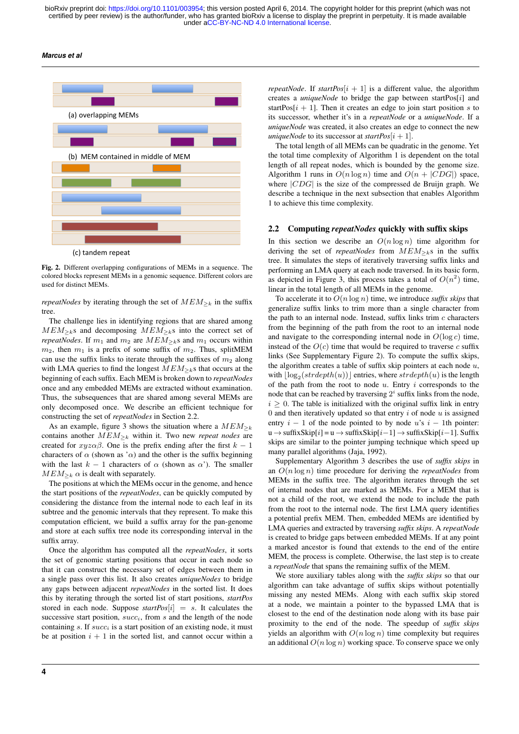*Marcus et al*



Fig. 2. Different overlapping configurations of MEMs in a sequence. The colored blocks represent MEMs in a genomic sequence. Different colors are used for distinct MEMs.

*repeatNodes* by iterating through the set of  $MEM_{\geq k}$  in the suffix tree.

The challenge lies in identifying regions that are shared among  $MEM_{\geq k}$ s and decomposing  $MEM_{\geq k}$ s into the correct set of *repeatNodes*. If  $m_1$  and  $m_2$  are  $MEM_{\geq k}$ s and  $m_1$  occurs within  $m_2$ , then  $m_1$  is a prefix of some suffix of  $m_2$ . Thus, splitMEM can use the suffix links to iterate through the suffixes of  $m_2$  along with LMA queries to find the longest  $MEM_{\geq k}$ s that occurs at the beginning of each suffix. Each MEM is broken down to *repeatNodes* once and any embedded MEMs are extracted without examination. Thus, the subsequences that are shared among several MEMs are only decomposed once. We describe an efficient technique for constructing the set of *repeatNodes* in Section 2.2.

As an example, figure 3 shows the situation where a  $MEM_{\geq k}$ contains another  $MEM_{\geq k}$  within it. Two new *repeat nodes* are created for  $xyz\alpha\beta$ . One is the prefix ending after the first  $k-1$ characters of  $\alpha$  (shown as ' $\alpha$ ) and the other is the suffix beginning with the last  $k - 1$  characters of  $\alpha$  (shown as  $\alpha'$ ). The smaller  $MEM_{\geq k} \alpha$  is dealt with separately.

The positions at which the MEMs occur in the genome, and hence the start positions of the *repeatNodes*, can be quickly computed by considering the distance from the internal node to each leaf in its subtree and the genomic intervals that they represent. To make this computation efficient, we build a suffix array for the pan-genome and store at each suffix tree node its corresponding interval in the suffix array.

Once the algorithm has computed all the *repeatNodes*, it sorts the set of genomic starting positions that occur in each node so that it can construct the necessary set of edges between them in a single pass over this list. It also creates *uniqueNodes* to bridge any gaps between adjacent *repeatNodes* in the sorted list. It does this by iterating through the sorted list of start positions, *startPos* stored in each node. Suppose  $startPos[i] = s$ . It calculates the successive start position, *succi*, from *s* and the length of the node containing *s*. If *succ<sup>i</sup>* is a start position of an existing node, it must be at position  $i + 1$  in the sorted list, and cannot occur within a *repeatNode*. If *startPos* $[i + 1]$  is a different value, the algorithm creates a *uniqueNode* to bridge the gap between startPos[*i*] and startPos $[i + 1]$ . Then it creates an edge to join start position *s* to its successor, whether it's in a *repeatNode* or a *uniqueNode*. If a *uniqueNode* was created, it also creates an edge to connect the new *uniqueNode* to its successor at *startPos* $[i + 1]$ .

The total length of all MEMs can be quadratic in the genome. Yet the total time complexity of Algorithm 1 is dependent on the total length of all repeat nodes, which is bounded by the genome size. Algorithm 1 runs in  $O(n \log n)$  time and  $O(n + |CDG|)$  space, where *|CDG|* is the size of the compressed de Bruijn graph. We describe a technique in the next subsection that enables Algorithm 1 to achieve this time complexity.

#### 2.2 Computing *repeatNodes* quickly with suffix skips

In this section we describe an  $O(n \log n)$  time algorithm for deriving the set of *repeatNodes* from  $MEM_{\geq k}$ s in the suffix tree. It simulates the steps of iteratively traversing suffix links and performing an LMA query at each node traversed. In its basic form, as depicted in Figure 3, this process takes a total of  $O(n^2)$  time, linear in the total length of all MEMs in the genome.

To accelerate it to *O*(*n* log *n*) time, we introduce *suffix skips* that generalize suffix links to trim more than a single character from the path to an internal node. Instead, suffix links trim *c* characters from the beginning of the path from the root to an internal node and navigate to the corresponding internal node in  $O(\log c)$  time, instead of the  $O(c)$  time that would be required to traverse  $c$  suffix links (See Supplementary Figure 2). To compute the suffix skips, the algorithm creates a table of suffix skip pointers at each node *u*, with  $\lfloor \log_2(\text{strdepth}(u)) \rfloor$  entries, where  $\text{strdepth}(u)$  is the length of the path from the root to node *u*. Entry *i* corresponds to the node that can be reached by traversing  $2<sup>i</sup>$  suffix links from the node,  $i > 0$ . The table is initialized with the original suffix link in entry 0 and then iteratively updated so that entry *i* of node *u* is assigned entry  $i - 1$  of the node pointed to by node  $u$ 's  $i - 1$ th pointer:  $u \rightarrow$ suffixSkip[ $i$ ] =  $u \rightarrow$ suffixSkip[ $i-1$ ]  $\rightarrow$ suffixSkip[ $i-1$ ]. Suffix skips are similar to the pointer jumping technique which speed up many parallel algorithms (Jaja, 1992).

Supplementary Algorithm 3 describes the use of *suffix skips* in an *O*(*n* log *n*) time procedure for deriving the *repeatNodes* from MEMs in the suffix tree. The algorithm iterates through the set of internal nodes that are marked as MEMs. For a MEM that is not a child of the root, we extend the node to include the path from the root to the internal node. The first LMA query identifies a potential prefix MEM. Then, embedded MEMs are identified by LMA queries and extracted by traversing *suffix skips*. A *repeatNode* is created to bridge gaps between embedded MEMs. If at any point a marked ancestor is found that extends to the end of the entire MEM, the process is complete. Otherwise, the last step is to create a *repeatNode* that spans the remaining suffix of the MEM.

We store auxiliary tables along with the *suffix skips* so that our algorithm can take advantage of suffix skips without potentially missing any nested MEMs. Along with each suffix skip stored at a node, we maintain a pointer to the bypassed LMA that is closest to the end of the destination node along with its base pair proximity to the end of the node. The speedup of *suffix skips* yields an algorithm with  $O(n \log n)$  time complexity but requires an additional *O*(*n* log *n*) working space. To conserve space we only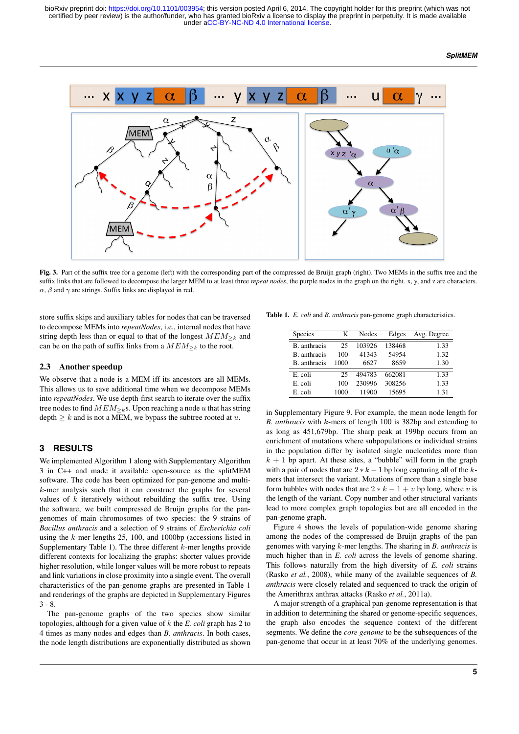#### *SplitMEM*



Fig. 3. Part of the suffix tree for a genome (left) with the corresponding part of the compressed de Bruijn graph (right). Two MEMs in the suffix tree and the suffix links that are followed to decompose the larger MEM to at least three *repeat nodes*, the purple nodes in the graph on the right. x, y, and z are characters.  $\alpha$ ,  $\beta$  and  $\gamma$  are strings. Suffix links are displayed in red.

store suffix skips and auxiliary tables for nodes that can be traversed to decompose MEMs into *repeatNodes*, i.e., internal nodes that have string depth less than or equal to that of the longest  $MEM_{\geq k}$  and can be on the path of suffix links from a  $MEM_{\geq k}$  to the root.

## 2.3 Another speedup

We observe that a node is a MEM iff its ancestors are all MEMs. This allows us to save additional time when we decompose MEMs into *repeatNodes*. We use depth-first search to iterate over the suffix tree nodes to find  $MEM_{\geq k}$ s. Upon reaching a node *u* that has string depth  $\geq k$  and is not a MEM, we bypass the subtree rooted at  $u$ .

## **3 RESULTS**

We implemented Algorithm 1 along with Supplementary Algorithm 3 in C++ and made it available open-source as the splitMEM software. The code has been optimized for pan-genome and multi*k*-mer analysis such that it can construct the graphs for several values of *k* iteratively without rebuilding the suffix tree. Using the software, we built compressed de Bruijn graphs for the pangenomes of main chromosomes of two species: the 9 strains of *Bacillus anthracis* and a selection of 9 strains of *Escherichia coli* using the *k*-mer lengths 25, 100, and 1000bp (accessions listed in Supplementary Table 1). The three different *k*-mer lengths provide different contexts for localizing the graphs: shorter values provide higher resolution, while longer values will be more robust to repeats and link variations in close proximity into a single event. The overall characteristics of the pan-genome graphs are presented in Table 1 and renderings of the graphs are depicted in Supplementary Figures 3 - 8.

The pan-genome graphs of the two species show similar topologies, although for a given value of *k* the *E. coli* graph has 2 to 4 times as many nodes and edges than *B. anthracis*. In both cases, the node length distributions are exponentially distributed as shown

Table 1. *E. coli* and *B. anthracis* pan-genome graph characteristics.

| <b>Species</b>     | K    | Nodes  | Edges  | Avg. Degree |
|--------------------|------|--------|--------|-------------|
| B. anthracis       | 25   | 103926 | 138468 | 1.33        |
| <b>B</b> anthracis | 100  | 41343  | 54954  | 1.32        |
| <b>B</b> anthracis | 1000 | 6627   | 8659   | 1.30        |
| E coli             | 25   | 494783 | 662081 | 1.33        |
| E. coli            | 100  | 230996 | 308256 | 1.33        |
| E. coli            | 1000 | 11900  | 15695  | 1.31        |

in Supplementary Figure 9. For example, the mean node length for *B. anthracis* with *k*-mers of length 100 is 382bp and extending to as long as 451,679bp. The sharp peak at 199bp occurs from an enrichment of mutations where subpopulations or individual strains in the population differ by isolated single nucleotides more than  $k + 1$  bp apart. At these sites, a "bubble" will form in the graph with a pair of nodes that are  $2 * k - 1$  bp long capturing all of the  $k$ mers that intersect the variant. Mutations of more than a single base form bubbles with nodes that are  $2 * k - 1 + v$  bp long, where *v* is the length of the variant. Copy number and other structural variants lead to more complex graph topologies but are all encoded in the pan-genome graph.

Figure 4 shows the levels of population-wide genome sharing among the nodes of the compressed de Bruijn graphs of the pan genomes with varying *k*-mer lengths. The sharing in *B. anthracis* is much higher than in *E. coli* across the levels of genome sharing. This follows naturally from the high diversity of *E. coli* strains (Rasko *et al.*, 2008), while many of the available sequences of *B. anthracis* were closely related and sequenced to track the origin of the Amerithrax anthrax attacks (Rasko *et al.*, 2011a).

A major strength of a graphical pan-genome representation is that in addition to determining the shared or genome-specific sequences, the graph also encodes the sequence context of the different segments. We define the *core genome* to be the subsequences of the pan-genome that occur in at least 70% of the underlying genomes.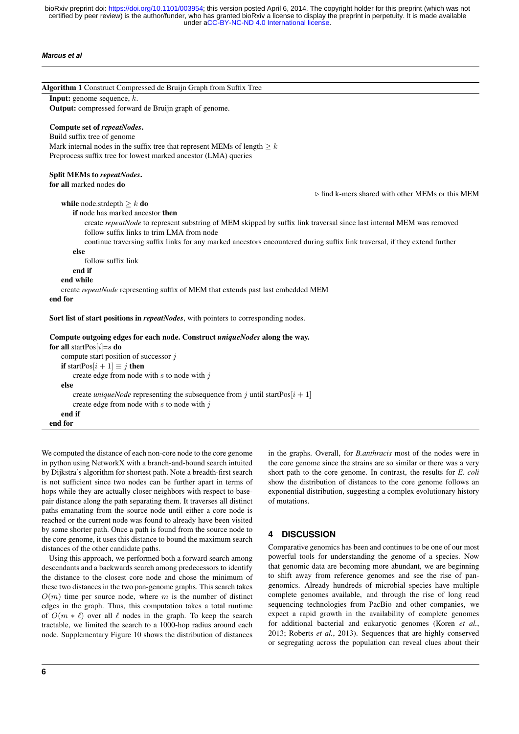#### *Marcus et al*

| Algorithm 1 Construct Compressed de Bruijn Graph from Suffix Tree<br><b>Input:</b> genome sequence, $k$ .                                                         |                                                                 |
|-------------------------------------------------------------------------------------------------------------------------------------------------------------------|-----------------------------------------------------------------|
| Output: compressed forward de Bruijn graph of genome.                                                                                                             |                                                                 |
|                                                                                                                                                                   |                                                                 |
| Compute set of repeatNodes.                                                                                                                                       |                                                                 |
| Build suffix tree of genome                                                                                                                                       |                                                                 |
| Mark internal nodes in the suffix tree that represent MEMs of length $\geq k$                                                                                     |                                                                 |
| Preprocess suffix tree for lowest marked ancestor (LMA) queries                                                                                                   |                                                                 |
| Split MEMs to repeatNodes.                                                                                                                                        |                                                                 |
| for all marked nodes do                                                                                                                                           |                                                                 |
|                                                                                                                                                                   | $\triangleright$ find k-mers shared with other MEMs or this MEM |
| while node.strdepth $\geq k$ do                                                                                                                                   |                                                                 |
| <b>if</b> node has marked ancestor <b>then</b>                                                                                                                    |                                                                 |
| create repeatNode to represent substring of MEM skipped by suffix link traversal since last internal MEM was removed<br>follow suffix links to trim LMA from node |                                                                 |
| continue traversing suffix links for any marked ancestors encountered during suffix link traversal, if they extend further                                        |                                                                 |
| else                                                                                                                                                              |                                                                 |
| follow suffix link                                                                                                                                                |                                                                 |
| end if                                                                                                                                                            |                                                                 |
| end while                                                                                                                                                         |                                                                 |
| create repeatNode representing suffix of MEM that extends past last embedded MEM                                                                                  |                                                                 |
| end for                                                                                                                                                           |                                                                 |
| Sort list of start positions in <i>repeatNodes</i> , with pointers to corresponding nodes.                                                                        |                                                                 |
| Compute outgoing edges for each node. Construct <i>uniqueNodes</i> along the way.                                                                                 |                                                                 |
| for all startPos $[i]=s$ do                                                                                                                                       |                                                                 |
| compute start position of successor $j$                                                                                                                           |                                                                 |
| <b>if</b> startPos[ $i + 1$ ] $\equiv j$ <b>then</b>                                                                                                              |                                                                 |
| create edge from node with $s$ to node with $j$                                                                                                                   |                                                                 |
| else                                                                                                                                                              |                                                                 |
| create <i>uniqueNode</i> representing the subsequence from j until startPos $[i + 1]$<br>create edge from node with $s$ to node with $j$                          |                                                                 |
| end if                                                                                                                                                            |                                                                 |
| end for                                                                                                                                                           |                                                                 |

We computed the distance of each non-core node to the core genome in python using NetworkX with a branch-and-bound search intuited by Dijkstra's algorithm for shortest path. Note a breadth-first search is not sufficient since two nodes can be further apart in terms of hops while they are actually closer neighbors with respect to basepair distance along the path separating them. It traverses all distinct paths emanating from the source node until either a core node is reached or the current node was found to already have been visited by some shorter path. Once a path is found from the source node to the core genome, it uses this distance to bound the maximum search distances of the other candidate paths.

Using this approach, we performed both a forward search among descendants and a backwards search among predecessors to identify the distance to the closest core node and chose the minimum of these two distances in the two pan-genome graphs. This search takes  $O(m)$  time per source node, where *m* is the number of distinct edges in the graph. Thus, this computation takes a total runtime of  $O(m * \ell)$  over all  $\ell$  nodes in the graph. To keep the search tractable, we limited the search to a 1000-hop radius around each node. Supplementary Figure 10 shows the distribution of distances in the graphs. Overall, for *B.anthracis* most of the nodes were in the core genome since the strains are so similar or there was a very short path to the core genome. In contrast, the results for *E. coli* show the distribution of distances to the core genome follows an exponential distribution, suggesting a complex evolutionary history of mutations.

## **4 DISCUSSION**

Comparative genomics has been and continues to be one of our most powerful tools for understanding the genome of a species. Now that genomic data are becoming more abundant, we are beginning to shift away from reference genomes and see the rise of pangenomics. Already hundreds of microbial species have multiple complete genomes available, and through the rise of long read sequencing technologies from PacBio and other companies, we expect a rapid growth in the availability of complete genomes for additional bacterial and eukaryotic genomes (Koren *et al.*, 2013; Roberts *et al.*, 2013). Sequences that are highly conserved or segregating across the population can reveal clues about their